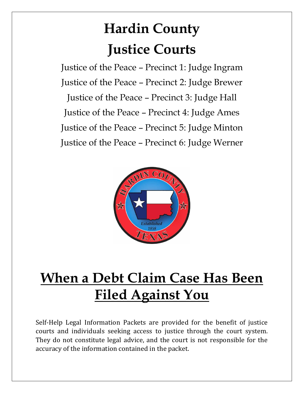# **Hardin County Justice Courts**

Justice of the Peace – Precinct 1: Judge Ingram Justice of the Peace – Precinct 2: Judge Brewer Justice of the Peace – Precinct 3: Judge Hall Justice of the Peace – Precinct 4: Judge Ames Justice of the Peace – Precinct 5: Judge Minton Justice of the Peace – Precinct 6: Judge Werner



## **When a Debt Claim Case Has Been Filed Against You**

Self-Help Legal Information Packets are provided for the benefit of justice courts and individuals seeking access to justice through the court system. They do not constitute legal advice, and the court is not responsible for the accuracy of the information contained in the packet.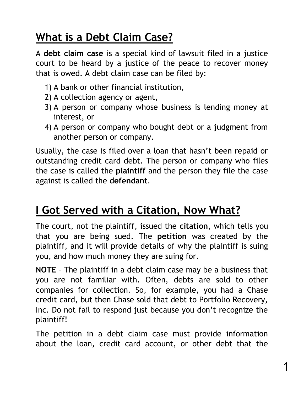### **What is a Debt Claim Case?**

A **debt claim case** is a special kind of lawsuit filed in a justice court to be heard by a justice of the peace to recover money that is owed. A debt claim case can be filed by:

- 1) A bank or other financial institution,
- 2) A collection agency or agent,
- 3) A person or company whose business is lending money at interest, or
- 4) A person or company who bought debt or a judgment from another person or company.

Usually, the case is filed over a loan that hasn't been repaid or outstanding credit card debt. The person or company who files the case is called the **plaintiff** and the person they file the case against is called the **defendant**.

#### **I Got Served with a Citation, Now What?**

The court, not the plaintiff, issued the **citation**, which tells you that you are being sued. The **petition** was created by the plaintiff, and it will provide details of why the plaintiff is suing you, and how much money they are suing for.

**NOTE** – The plaintiff in a debt claim case may be a business that you are not familiar with. Often, debts are sold to other companies for collection. So, for example, you had a Chase credit card, but then Chase sold that debt to Portfolio Recovery, Inc. Do not fail to respond just because you don't recognize the plaintiff!

The petition in a debt claim case must provide information about the loan, credit card account, or other debt that the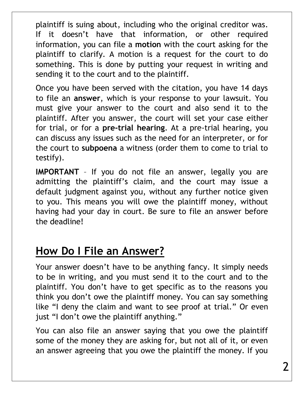plaintiff is suing about, including who the original creditor was. If it doesn't have that information, or other required information, you can file a **motion** with the court asking for the plaintiff to clarify. A motion is a request for the court to do something. This is done by putting your request in writing and sending it to the court and to the plaintiff.

Once you have been served with the citation, you have 14 days to file an **answer**, which is your response to your lawsuit. You must give your answer to the court and also send it to the plaintiff. After you answer, the court will set your case either for trial, or for a **pre-trial hearing**. At a pre-trial hearing, you can discuss any issues such as the need for an interpreter, or for the court to **subpoena** a witness (order them to come to trial to testify).

**IMPORTANT** – If you do not file an answer, legally you are admitting the plaintiff's claim, and the court may issue a default judgment against you, without any further notice given to you. This means you will owe the plaintiff money, without having had your day in court. Be sure to file an answer before the deadline!

#### **How Do I File an Answer?**

Your answer doesn't have to be anything fancy. It simply needs to be in writing, and you must send it to the court and to the plaintiff. You don't have to get specific as to the reasons you think you don't owe the plaintiff money. You can say something like "I deny the claim and want to see proof at trial." Or even just "I don't owe the plaintiff anything."

You can also file an answer saying that you owe the plaintiff some of the money they are asking for, but not all of it, or even an answer agreeing that you owe the plaintiff the money. If you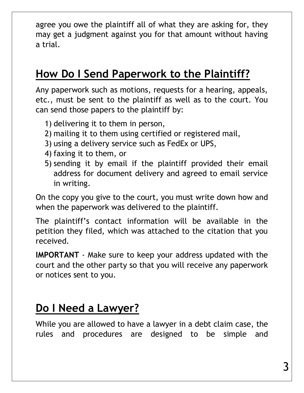agree you owe the plaintiff all of what they are asking for, they may get a judgment against you for that amount without having a trial.

## **How Do I Send Paperwork to the Plaintiff?**

Any paperwork such as motions, requests for a hearing, appeals, etc., must be sent to the plaintiff as well as to the court. You can send those papers to the plaintiff by:

- 1) delivering it to them in person,
- 2) mailing it to them using certified or registered mail,
- 3) using a delivery service such as FedEx or UPS,
- 4) faxing it to them, or
- 5) sending it by email if the plaintiff provided their email address for document delivery and agreed to email service in writing.

On the copy you give to the court, you must write down how and when the paperwork was delivered to the plaintiff.

The plaintiff's contact information will be available in the petition they filed, which was attached to the citation that you received.

**IMPORTANT** - Make sure to keep your address updated with the court and the other party so that you will receive any paperwork or notices sent to you.

#### **Do I Need a Lawyer?**

While you are allowed to have a lawyer in a debt claim case, the rules and procedures are designed to be simple and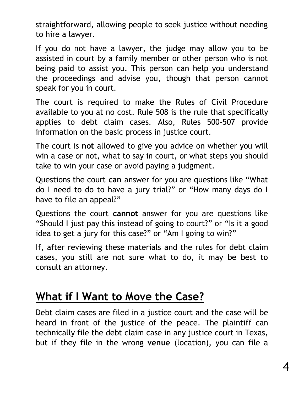straightforward, allowing people to seek justice without needing to hire a lawyer.

If you do not have a lawyer, the judge may allow you to be assisted in court by a family member or other person who is not being paid to assist you. This person can help you understand the proceedings and advise you, though that person cannot speak for you in court.

The court is required to make the Rules of Civil Procedure available to you at no cost. Rule 508 is the rule that specifically applies to debt claim cases. Also, Rules 500-507 provide information on the basic process in justice court.

The court is **not** allowed to give you advice on whether you will win a case or not, what to say in court, or what steps you should take to win your case or avoid paying a judgment.

Questions the court **can** answer for you are questions like "What do I need to do to have a jury trial?" or "How many days do I have to file an appeal?"

Questions the court **cannot** answer for you are questions like "Should I just pay this instead of going to court?" or "Is it a good idea to get a jury for this case?" or "Am I going to win?"

If, after reviewing these materials and the rules for debt claim cases, you still are not sure what to do, it may be best to consult an attorney.

#### **What if I Want to Move the Case?**

Debt claim cases are filed in a justice court and the case will be heard in front of the justice of the peace. The plaintiff can technically file the debt claim case in any justice court in Texas, but if they file in the wrong **venue** (location), you can file a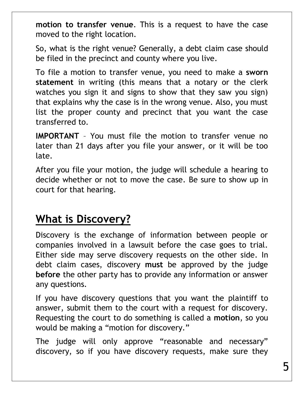**motion to transfer venue**. This is a request to have the case moved to the right location.

So, what is the right venue? Generally, a debt claim case should be filed in the precinct and county where you live.

To file a motion to transfer venue, you need to make a **sworn statement** in writing (this means that a notary or the clerk watches you sign it and signs to show that they saw you sign) that explains why the case is in the wrong venue. Also, you must list the proper county and precinct that you want the case transferred to.

**IMPORTANT** – You must file the motion to transfer venue no later than 21 days after you file your answer, or it will be too late.

After you file your motion, the judge will schedule a hearing to decide whether or not to move the case. Be sure to show up in court for that hearing.

#### **What is Discovery?**

Discovery is the exchange of information between people or companies involved in a lawsuit before the case goes to trial. Either side may serve discovery requests on the other side. In debt claim cases, discovery **must** be approved by the judge **before** the other party has to provide any information or answer any questions.

If you have discovery questions that you want the plaintiff to answer, submit them to the court with a request for discovery. Requesting the court to do something is called a **motion**, so you would be making a "motion for discovery."

The judge will only approve "reasonable and necessary" discovery, so if you have discovery requests, make sure they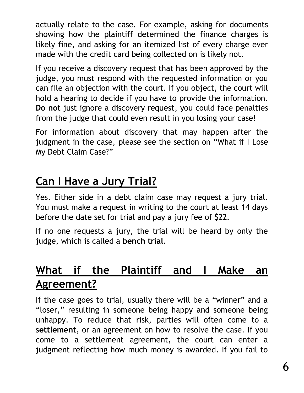actually relate to the case. For example, asking for documents showing how the plaintiff determined the finance charges is likely fine, and asking for an itemized list of every charge ever made with the credit card being collected on is likely not.

If you receive a discovery request that has been approved by the judge, you must respond with the requested information or you can file an objection with the court. If you object, the court will hold a hearing to decide if you have to provide the information. **Do not** just ignore a discovery request, you could face penalties from the judge that could even result in you losing your case!

For information about discovery that may happen after the judgment in the case, please see the section on "What if I Lose My Debt Claim Case?"

## **Can I Have a Jury Trial?**

Yes. Either side in a debt claim case may request a jury trial. You must make a request in writing to the court at least 14 days before the date set for trial and pay a jury fee of \$22.

If no one requests a jury, the trial will be heard by only the judge, which is called a **bench trial**.

## **What if the Plaintiff and I Make an Agreement?**

If the case goes to trial, usually there will be a "winner" and a "loser," resulting in someone being happy and someone being unhappy. To reduce that risk, parties will often come to a **settlement**, or an agreement on how to resolve the case. If you come to a settlement agreement, the court can enter a judgment reflecting how much money is awarded. If you fail to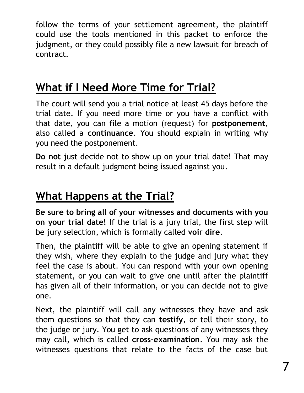follow the terms of your settlement agreement, the plaintiff could use the tools mentioned in this packet to enforce the judgment, or they could possibly file a new lawsuit for breach of contract.

#### **What if I Need More Time for Trial?**

The court will send you a trial notice at least 45 days before the trial date. If you need more time or you have a conflict with that date, you can file a motion (request) for **postponement**, also called a **continuance**. You should explain in writing why you need the postponement.

**Do not** just decide not to show up on your trial date! That may result in a default judgment being issued against you.

## **What Happens at the Trial?**

**Be sure to bring all of your witnesses and documents with you on your trial date!** If the trial is a jury trial, the first step will be jury selection, which is formally called **voir dire**.

Then, the plaintiff will be able to give an opening statement if they wish, where they explain to the judge and jury what they feel the case is about. You can respond with your own opening statement, or you can wait to give one until after the plaintiff has given all of their information, or you can decide not to give one.

Next, the plaintiff will call any witnesses they have and ask them questions so that they can **testify**, or tell their story, to the judge or jury. You get to ask questions of any witnesses they may call, which is called **cross-examination**. You may ask the witnesses questions that relate to the facts of the case but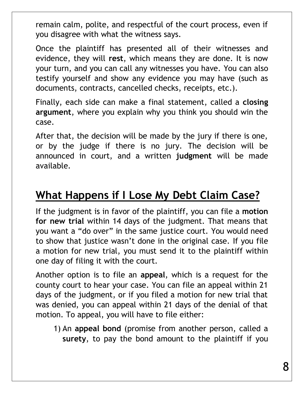remain calm, polite, and respectful of the court process, even if you disagree with what the witness says.

Once the plaintiff has presented all of their witnesses and evidence, they will **rest**, which means they are done. It is now your turn, and you can call any witnesses you have. You can also testify yourself and show any evidence you may have (such as documents, contracts, cancelled checks, receipts, etc.).

Finally, each side can make a final statement, called a **closing argument**, where you explain why you think you should win the case.

After that, the decision will be made by the jury if there is one, or by the judge if there is no jury. The decision will be announced in court, and a written **judgment** will be made available.

### **What Happens if I Lose My Debt Claim Case?**

If the judgment is in favor of the plaintiff, you can file a **motion for new trial** within 14 days of the judgment. That means that you want a "do over" in the same justice court. You would need to show that justice wasn't done in the original case. If you file a motion for new trial, you must send it to the plaintiff within one day of filing it with the court.

Another option is to file an **appeal**, which is a request for the county court to hear your case. You can file an appeal within 21 days of the judgment, or if you filed a motion for new trial that was denied, you can appeal within 21 days of the denial of that motion. To appeal, you will have to file either:

1) An **appeal bond** (promise from another person, called a **surety**, to pay the bond amount to the plaintiff if you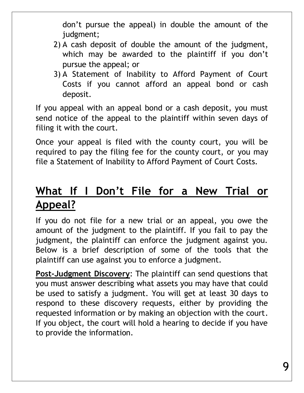don't pursue the appeal) in double the amount of the judgment;

- 2) A cash deposit of double the amount of the judgment, which may be awarded to the plaintiff if you don't pursue the appeal; or
- 3) A Statement of Inability to Afford Payment of Court Costs if you cannot afford an appeal bond or cash deposit.

If you appeal with an appeal bond or a cash deposit, you must send notice of the appeal to the plaintiff within seven days of filing it with the court.

Once your appeal is filed with the county court, you will be required to pay the filing fee for the county court, or you may file a Statement of Inability to Afford Payment of Court Costs.

## **What If I Don't File for a New Trial or Appeal?**

If you do not file for a new trial or an appeal, you owe the amount of the judgment to the plaintiff. If you fail to pay the judgment, the plaintiff can enforce the judgment against you. Below is a brief description of some of the tools that the plaintiff can use against you to enforce a judgment.

**Post-Judgment Discovery**: The plaintiff can send questions that you must answer describing what assets you may have that could be used to satisfy a judgment. You will get at least 30 days to respond to these discovery requests, either by providing the requested information or by making an objection with the court. If you object, the court will hold a hearing to decide if you have to provide the information.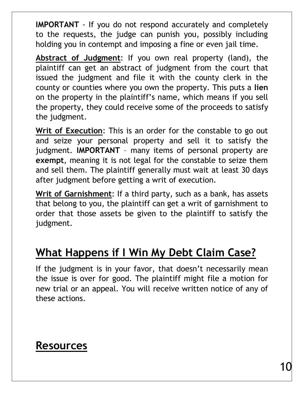**IMPORTANT** - If you do not respond accurately and completely to the requests, the judge can punish you, possibly including holding you in contempt and imposing a fine or even jail time.

**Abstract of Judgment**: If you own real property (land), the plaintiff can get an abstract of judgment from the court that issued the judgment and file it with the county clerk in the county or counties where you own the property. This puts a **lien** on the property in the plaintiff's name, which means if you sell the property, they could receive some of the proceeds to satisfy the judgment.

**Writ of Execution**: This is an order for the constable to go out and seize your personal property and sell it to satisfy the judgment. **IMPORTANT** – many items of personal property are **exempt**, meaning it is not legal for the constable to seize them and sell them. The plaintiff generally must wait at least 30 days after judgment before getting a writ of execution.

**Writ of Garnishment**: If a third party, such as a bank, has assets that belong to you, the plaintiff can get a writ of garnishment to order that those assets be given to the plaintiff to satisfy the judgment.

## **What Happens if I Win My Debt Claim Case?**

If the judgment is in your favor, that doesn't necessarily mean the issue is over for good. The plaintiff might file a motion for new trial or an appeal. You will receive written notice of any of these actions.

#### **Resources**